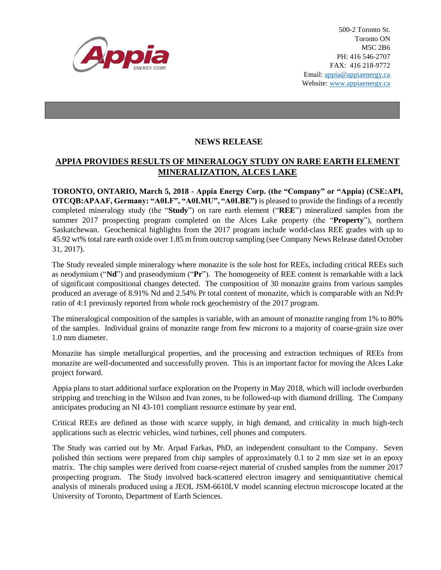

500-2 Toronto St. Toronto ON M5C 2B6 PH: 416 546-2707 FAX: 416 218-9772 Email: appia@appiaenergy.ca Website: www.appiaenergy.ca

## **NEWS RELEASE**

## **APPIA PROVIDES RESULTS OF MINERALOGY STUDY ON RARE EARTH ELEMENT MINERALIZATION, ALCES LAKE**

**TORONTO, ONTARIO, March 5, 2018 - Appia Energy Corp. (the "Company" or "Appia) (CSE:API, OTCQB:APAAF, Germany: "A0I.F", "A0I.MU", "A0I.BE")** is pleased to provide the findings of a recently completed mineralogy study (the "**Study**") on rare earth element ("**REE**") mineralized samples from the summer 2017 prospecting program completed on the Alces Lake property (the "**Property**"), northern Saskatchewan. Geochemical highlights from the 2017 program include world-class REE grades with up to 45.92 wt% total rare earth oxide over 1.85 m from outcrop sampling (see Company News Release dated October 31, 2017).

The Study revealed simple mineralogy where monazite is the sole host for REEs, including critical REEs such as neodymium ("**Nd**") and praseodymium ("**Pr**"). The homogeneity of REE content is remarkable with a lack of significant compositional changes detected. The composition of 30 monazite grains from various samples produced an average of 8.91% Nd and 2.54% Pr total content of monazite, which is comparable with an Nd:Pr ratio of 4:1 previously reported from whole rock geochemistry of the 2017 program.

The mineralogical composition of the samples is variable, with an amount of monazite ranging from 1% to 80% of the samples. Individual grains of monazite range from few microns to a majority of coarse-grain size over 1.0 mm diameter.

Monazite has simple metallurgical properties, and the processing and extraction techniques of REEs from monazite are well-documented and successfully proven. This is an important factor for moving the Alces Lake project forward.

Appia plans to start additional surface exploration on the Property in May 2018, which will include overburden stripping and trenching in the Wilson and Ivan zones, to be followed-up with diamond drilling. The Company anticipates producing an NI 43-101 compliant resource estimate by year end.

Critical REEs are defined as those with scarce supply, in high demand, and criticality in much high-tech applications such as electric vehicles, wind turbines, cell phones and computers.

The Study was carried out by Mr. Arpad Farkas, PhD, an independent consultant to the Company. Seven polished thin sections were prepared from chip samples of approximately 0.1 to 2 mm size set in an epoxy matrix. The chip samples were derived from coarse-reject material of crushed samples from the summer 2017 prospecting program. The Study involved back-scattered electron imagery and semiquantitative chemical analysis of minerals produced using a JEOL JSM-6610LV model scanning electron microscope located at the University of Toronto, Department of Earth Sciences.